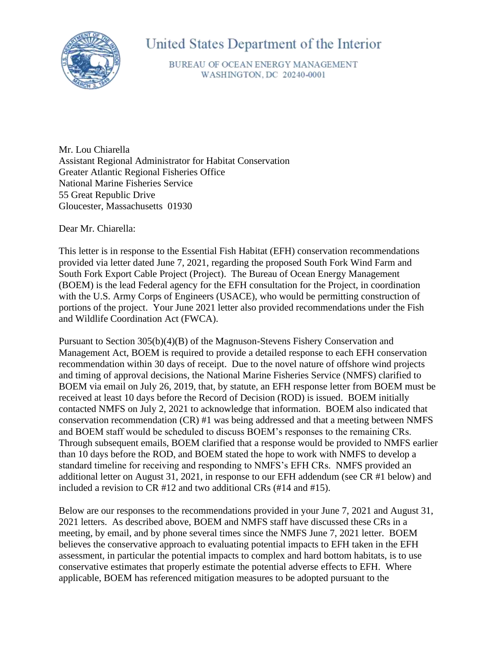

# United States Department of the Interior

BUREAU OF OCEAN ENERGY MANAGEMENT WASHINGTON, DC 20240-0001

Mr. Lou Chiarella Assistant Regional Administrator for Habitat Conservation Greater Atlantic Regional Fisheries Office National Marine Fisheries Service 55 Great Republic Drive Gloucester, Massachusetts 01930

Dear Mr. Chiarella:

This letter is in response to the Essential Fish Habitat (EFH) conservation recommendations provided via letter dated June 7, 2021, regarding the proposed South Fork Wind Farm and South Fork Export Cable Project (Project). The Bureau of Ocean Energy Management (BOEM) is the lead Federal agency for the EFH consultation for the Project, in coordination with the U.S. Army Corps of Engineers (USACE), who would be permitting construction of portions of the project. Your June 2021 letter also provided recommendations under the Fish and Wildlife Coordination Act (FWCA).

Pursuant to Section 305(b)(4)(B) of the Magnuson-Stevens Fishery Conservation and Management Act, BOEM is required to provide a detailed response to each EFH conservation recommendation within 30 days of receipt. Due to the novel nature of offshore wind projects and timing of approval decisions, the National Marine Fisheries Service (NMFS) clarified to BOEM via email on July 26, 2019, that, by statute, an EFH response letter from BOEM must be received at least 10 days before the Record of Decision (ROD) is issued. BOEM initially contacted NMFS on July 2, 2021 to acknowledge that information. BOEM also indicated that conservation recommendation (CR) #1 was being addressed and that a meeting between NMFS and BOEM staff would be scheduled to discuss BOEM's responses to the remaining CRs. Through subsequent emails, BOEM clarified that a response would be provided to NMFS earlier than 10 days before the ROD, and BOEM stated the hope to work with NMFS to develop a standard timeline for receiving and responding to NMFS's EFH CRs. NMFS provided an additional letter on August 31, 2021, in response to our EFH addendum (see CR #1 below) and included a revision to CR #12 and two additional CRs (#14 and #15).

Below are our responses to the recommendations provided in your June 7, 2021 and August 31, 2021 letters. As described above, BOEM and NMFS staff have discussed these CRs in a meeting, by email, and by phone several times since the NMFS June 7, 2021 letter. BOEM believes the conservative approach to evaluating potential impacts to EFH taken in the EFH assessment, in particular the potential impacts to complex and hard bottom habitats, is to use conservative estimates that properly estimate the potential adverse effects to EFH. Where applicable, BOEM has referenced mitigation measures to be adopted pursuant to the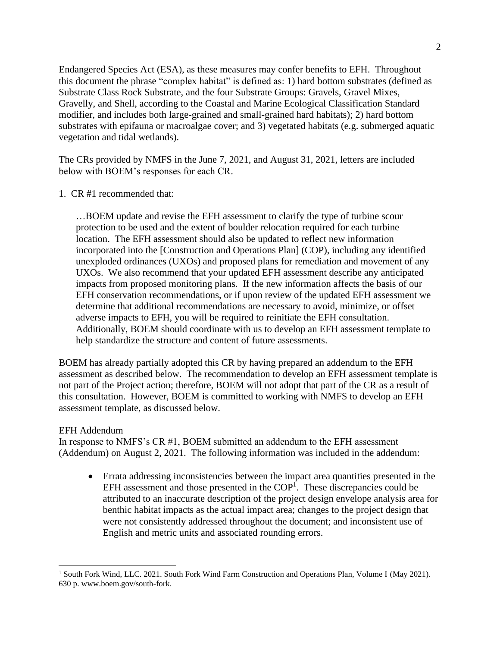Endangered Species Act (ESA), as these measures may confer benefits to EFH. Throughout this document the phrase "complex habitat" is defined as: 1) hard bottom substrates (defined as Substrate Class Rock Substrate, and the four Substrate Groups: Gravels, Gravel Mixes, Gravelly, and Shell, according to the Coastal and Marine Ecological Classification Standard modifier, and includes both large-grained and small-grained hard habitats); 2) hard bottom substrates with epifauna or macroalgae cover; and 3) vegetated habitats (e.g. submerged aquatic vegetation and tidal wetlands).

The CRs provided by NMFS in the June 7, 2021, and August 31, 2021, letters are included below with BOEM's responses for each CR.

## 1. CR #1 recommended that:

…BOEM update and revise the EFH assessment to clarify the type of turbine scour protection to be used and the extent of boulder relocation required for each turbine location. The EFH assessment should also be updated to reflect new information incorporated into the [Construction and Operations Plan] (COP), including any identified unexploded ordinances (UXOs) and proposed plans for remediation and movement of any UXOs. We also recommend that your updated EFH assessment describe any anticipated impacts from proposed monitoring plans. If the new information affects the basis of our EFH conservation recommendations, or if upon review of the updated EFH assessment we determine that additional recommendations are necessary to avoid, minimize, or offset adverse impacts to EFH, you will be required to reinitiate the EFH consultation. Additionally, BOEM should coordinate with us to develop an EFH assessment template to help standardize the structure and content of future assessments.

BOEM has already partially adopted this CR by having prepared an addendum to the EFH assessment as described below. The recommendation to develop an EFH assessment template is not part of the Project action; therefore, BOEM will not adopt that part of the CR as a result of this consultation. However, BOEM is committed to working with NMFS to develop an EFH assessment template, as discussed below.

#### EFH Addendum

In response to NMFS's CR #1, BOEM submitted an addendum to the EFH assessment (Addendum) on August 2, 2021. The following information was included in the addendum:

• Errata addressing inconsistencies between the impact area quantities presented in the EFH assessment and those presented in the  $COP<sup>1</sup>$ . These discrepancies could be attributed to an inaccurate description of the project design envelope analysis area for benthic habitat impacts as the actual impact area; changes to the project design that were not consistently addressed throughout the document; and inconsistent use of English and metric units and associated rounding errors.

<sup>&</sup>lt;sup>1</sup> South Fork Wind, LLC. 2021. South Fork Wind Farm Construction and Operations Plan, Volume I (May 2021). 630 p. www.boem.gov/south-fork.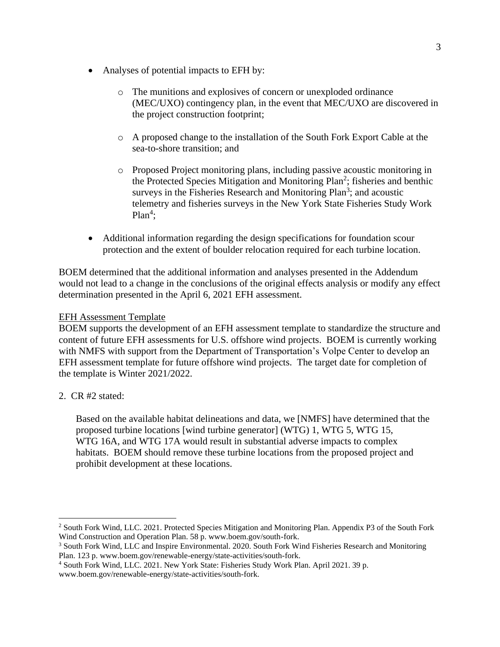- Analyses of potential impacts to EFH by:
	- o The munitions and explosives of concern or unexploded ordinance (MEC/UXO) contingency plan, in the event that MEC/UXO are discovered in the project construction footprint;
	- o A proposed change to the installation of the South Fork Export Cable at the sea-to-shore transition; and
	- o Proposed Project monitoring plans, including passive acoustic monitoring in the Protected Species Mitigation and Monitoring Plan<sup>2</sup>; fisheries and benthic surveys in the Fisheries Research and Monitoring Plan<sup>3</sup>; and acoustic telemetry and fisheries surveys in the New York State Fisheries Study Work  $Plan<sup>4</sup>$ ;
- Additional information regarding the design specifications for foundation scour protection and the extent of boulder relocation required for each turbine location.

BOEM determined that the additional information and analyses presented in the Addendum would not lead to a change in the conclusions of the original effects analysis or modify any effect determination presented in the April 6, 2021 EFH assessment.

## EFH Assessment Template

BOEM supports the development of an EFH assessment template to standardize the structure and content of future EFH assessments for U.S. offshore wind projects. BOEM is currently working with NMFS with support from the Department of Transportation's Volpe Center to develop an EFH assessment template for future offshore wind projects. The target date for completion of the template is Winter 2021/2022.

2. CR #2 stated:

Based on the available habitat delineations and data, we [NMFS] have determined that the proposed turbine locations [wind turbine generator] (WTG) 1, WTG 5, WTG 15, WTG 16A, and WTG 17A would result in substantial adverse impacts to complex habitats. BOEM should remove these turbine locations from the proposed project and prohibit development at these locations.

<sup>2</sup> South Fork Wind, LLC. 2021. Protected Species Mitigation and Monitoring Plan. Appendix P3 of the South Fork Wind Construction and Operation Plan. 58 p. www.boem.gov/south-fork.

<sup>&</sup>lt;sup>3</sup> South Fork Wind, LLC and Inspire Environmental. 2020. South Fork Wind Fisheries Research and Monitoring Plan. 123 p. www.boem.gov/renewable-energy/state-activities/south-fork.

<sup>4</sup> South Fork Wind, LLC. 2021. New York State: Fisheries Study Work Plan. April 2021. 39 p. www.boem.gov/renewable-energy/state-activities/south-fork.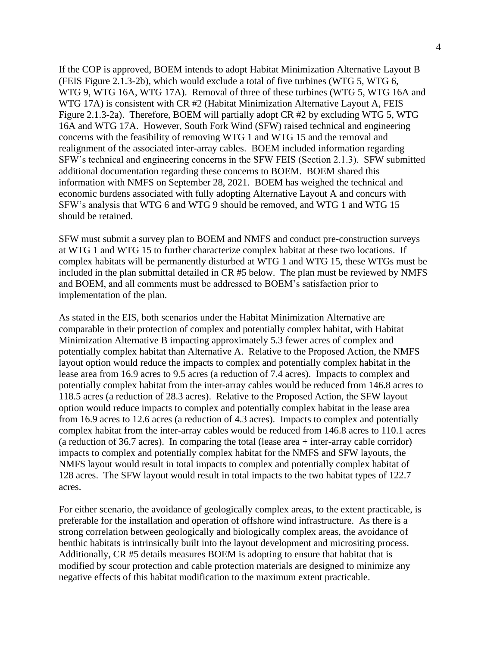If the COP is approved, BOEM intends to adopt Habitat Minimization Alternative Layout B (FEIS Figure 2.1.3-2b), which would exclude a total of five turbines (WTG 5, WTG 6, WTG 9, WTG 16A, WTG 17A). Removal of three of these turbines (WTG 5, WTG 16A and WTG 17A) is consistent with CR #2 (Habitat Minimization Alternative Layout A, FEIS Figure 2.1.3-2a). Therefore, BOEM will partially adopt CR #2 by excluding WTG 5, WTG 16A and WTG 17A. However, South Fork Wind (SFW) raised technical and engineering concerns with the feasibility of removing WTG 1 and WTG 15 and the removal and realignment of the associated inter-array cables. BOEM included information regarding SFW's technical and engineering concerns in the SFW FEIS (Section 2.1.3). SFW submitted additional documentation regarding these concerns to BOEM. BOEM shared this information with NMFS on September 28, 2021. BOEM has weighed the technical and economic burdens associated with fully adopting Alternative Layout A and concurs with SFW's analysis that WTG 6 and WTG 9 should be removed, and WTG 1 and WTG 15 should be retained.

SFW must submit a survey plan to BOEM and NMFS and conduct pre-construction surveys at WTG 1 and WTG 15 to further characterize complex habitat at these two locations. If complex habitats will be permanently disturbed at WTG 1 and WTG 15, these WTGs must be included in the plan submittal detailed in CR #5 below. The plan must be reviewed by NMFS and BOEM, and all comments must be addressed to BOEM's satisfaction prior to implementation of the plan.

As stated in the EIS, both scenarios under the Habitat Minimization Alternative are comparable in their protection of complex and potentially complex habitat, with Habitat Minimization Alternative B impacting approximately 5.3 fewer acres of complex and potentially complex habitat than Alternative A. Relative to the Proposed Action, the NMFS layout option would reduce the impacts to complex and potentially complex habitat in the lease area from 16.9 acres to 9.5 acres (a reduction of 7.4 acres). Impacts to complex and potentially complex habitat from the inter-array cables would be reduced from 146.8 acres to 118.5 acres (a reduction of 28.3 acres). Relative to the Proposed Action, the SFW layout option would reduce impacts to complex and potentially complex habitat in the lease area from 16.9 acres to 12.6 acres (a reduction of 4.3 acres). Impacts to complex and potentially complex habitat from the inter-array cables would be reduced from 146.8 acres to 110.1 acres (a reduction of 36.7 acres). In comparing the total (lease area + inter-array cable corridor) impacts to complex and potentially complex habitat for the NMFS and SFW layouts, the NMFS layout would result in total impacts to complex and potentially complex habitat of 128 acres. The SFW layout would result in total impacts to the two habitat types of 122.7 acres.

For either scenario, the avoidance of geologically complex areas, to the extent practicable, is preferable for the installation and operation of offshore wind infrastructure. As there is a strong correlation between geologically and biologically complex areas, the avoidance of benthic habitats is intrinsically built into the layout development and micrositing process. Additionally, CR #5 details measures BOEM is adopting to ensure that habitat that is modified by scour protection and cable protection materials are designed to minimize any negative effects of this habitat modification to the maximum extent practicable.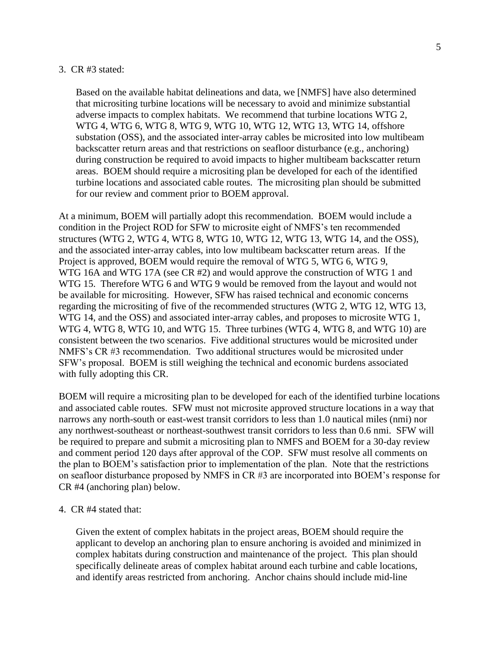#### 3. CR #3 stated:

Based on the available habitat delineations and data, we [NMFS] have also determined that micrositing turbine locations will be necessary to avoid and minimize substantial adverse impacts to complex habitats. We recommend that turbine locations WTG 2, WTG 4, WTG 6, WTG 8, WTG 9, WTG 10, WTG 12, WTG 13, WTG 14, offshore substation (OSS), and the associated inter-array cables be microsited into low multibeam backscatter return areas and that restrictions on seafloor disturbance (e.g., anchoring) during construction be required to avoid impacts to higher multibeam backscatter return areas. BOEM should require a micrositing plan be developed for each of the identified turbine locations and associated cable routes. The micrositing plan should be submitted for our review and comment prior to BOEM approval.

At a minimum, BOEM will partially adopt this recommendation. BOEM would include a condition in the Project ROD for SFW to microsite eight of NMFS's ten recommended structures (WTG 2, WTG 4, WTG 8, WTG 10, WTG 12, WTG 13, WTG 14, and the OSS), and the associated inter-array cables, into low multibeam backscatter return areas. If the Project is approved, BOEM would require the removal of WTG 5, WTG 6, WTG 9, WTG 16A and WTG 17A (see CR #2) and would approve the construction of WTG 1 and WTG 15. Therefore WTG 6 and WTG 9 would be removed from the layout and would not be available for micrositing. However, SFW has raised technical and economic concerns regarding the micrositing of five of the recommended structures (WTG 2, WTG 12, WTG 13, WTG 14, and the OSS) and associated inter-array cables, and proposes to microsite WTG 1, WTG 4, WTG 8, WTG 10, and WTG 15. Three turbines (WTG 4, WTG 8, and WTG 10) are consistent between the two scenarios. Five additional structures would be microsited under NMFS's CR #3 recommendation. Two additional structures would be microsited under SFW's proposal. BOEM is still weighing the technical and economic burdens associated with fully adopting this CR.

BOEM will require a micrositing plan to be developed for each of the identified turbine locations and associated cable routes. SFW must not microsite approved structure locations in a way that narrows any north-south or east-west transit corridors to less than 1.0 nautical miles (nmi) nor any northwest-southeast or northeast-southwest transit corridors to less than 0.6 nmi. SFW will be required to prepare and submit a micrositing plan to NMFS and BOEM for a 30-day review and comment period 120 days after approval of the COP. SFW must resolve all comments on the plan to BOEM's satisfaction prior to implementation of the plan. Note that the restrictions on seafloor disturbance proposed by NMFS in CR #3 are incorporated into BOEM's response for CR #4 (anchoring plan) below.

#### 4. CR #4 stated that:

Given the extent of complex habitats in the project areas, BOEM should require the applicant to develop an anchoring plan to ensure anchoring is avoided and minimized in complex habitats during construction and maintenance of the project. This plan should specifically delineate areas of complex habitat around each turbine and cable locations, and identify areas restricted from anchoring. Anchor chains should include mid-line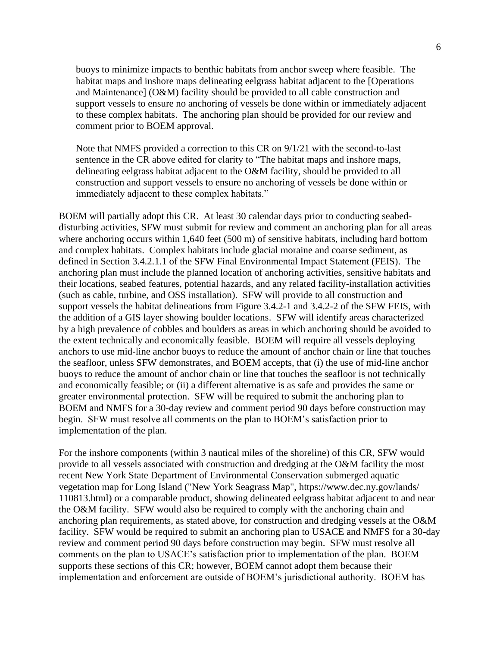buoys to minimize impacts to benthic habitats from anchor sweep where feasible. The habitat maps and inshore maps delineating eelgrass habitat adjacent to the [Operations and Maintenance] (O&M) facility should be provided to all cable construction and support vessels to ensure no anchoring of vessels be done within or immediately adjacent to these complex habitats. The anchoring plan should be provided for our review and comment prior to BOEM approval.

Note that NMFS provided a correction to this CR on 9/1/21 with the second-to-last sentence in the CR above edited for clarity to "The habitat maps and inshore maps, delineating eelgrass habitat adjacent to the O&M facility, should be provided to all construction and support vessels to ensure no anchoring of vessels be done within or immediately adjacent to these complex habitats."

BOEM will partially adopt this CR. At least 30 calendar days prior to conducting seabeddisturbing activities, SFW must submit for review and comment an anchoring plan for all areas where anchoring occurs within 1,640 feet (500 m) of sensitive habitats, including hard bottom and complex habitats. Complex habitats include glacial moraine and coarse sediment, as defined in Section 3.4.2.1.1 of the SFW Final Environmental Impact Statement (FEIS). The anchoring plan must include the planned location of anchoring activities, sensitive habitats and their locations, seabed features, potential hazards, and any related facility-installation activities (such as cable, turbine, and OSS installation). SFW will provide to all construction and support vessels the habitat delineations from Figure 3.4.2-1 and 3.4.2-2 of the SFW FEIS, with the addition of a GIS layer showing boulder locations. SFW will identify areas characterized by a high prevalence of cobbles and boulders as areas in which anchoring should be avoided to the extent technically and economically feasible. BOEM will require all vessels deploying anchors to use mid-line anchor buoys to reduce the amount of anchor chain or line that touches the seafloor, unless SFW demonstrates, and BOEM accepts, that (i) the use of mid-line anchor buoys to reduce the amount of anchor chain or line that touches the seafloor is not technically and economically feasible; or (ii) a different alternative is as safe and provides the same or greater environmental protection. SFW will be required to submit the anchoring plan to BOEM and NMFS for a 30-day review and comment period 90 days before construction may begin. SFW must resolve all comments on the plan to BOEM's satisfaction prior to implementation of the plan.

For the inshore components (within 3 nautical miles of the shoreline) of this CR, SFW would provide to all vessels associated with construction and dredging at the O&M facility the most recent New York State Department of Environmental Conservation submerged aquatic vegetation map for Long Island ("New York Seagrass Map", https://www.dec.ny.gov/lands/ 110813.html) or a comparable product, showing delineated eelgrass habitat adjacent to and near the O&M facility. SFW would also be required to comply with the anchoring chain and anchoring plan requirements, as stated above, for construction and dredging vessels at the O&M facility. SFW would be required to submit an anchoring plan to USACE and NMFS for a 30-day review and comment period 90 days before construction may begin. SFW must resolve all comments on the plan to USACE's satisfaction prior to implementation of the plan. BOEM supports these sections of this CR; however, BOEM cannot adopt them because their implementation and enforcement are outside of BOEM's jurisdictional authority. BOEM has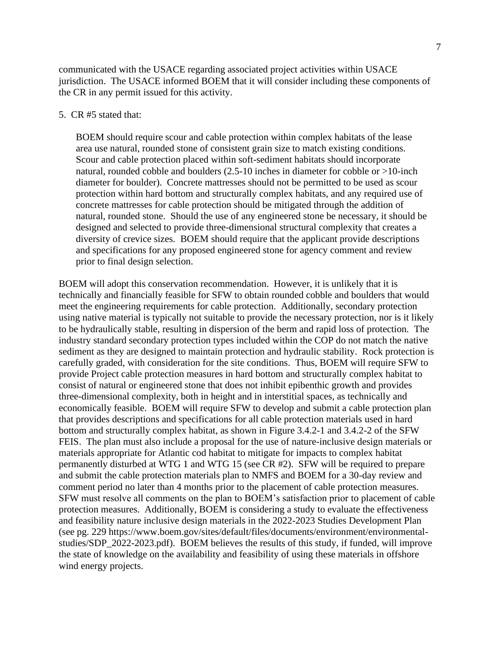communicated with the USACE regarding associated project activities within USACE jurisdiction. The USACE informed BOEM that it will consider including these components of the CR in any permit issued for this activity.

#### 5. CR #5 stated that:

BOEM should require scour and cable protection within complex habitats of the lease area use natural, rounded stone of consistent grain size to match existing conditions. Scour and cable protection placed within soft-sediment habitats should incorporate natural, rounded cobble and boulders (2.5-10 inches in diameter for cobble or >10-inch diameter for boulder). Concrete mattresses should not be permitted to be used as scour protection within hard bottom and structurally complex habitats, and any required use of concrete mattresses for cable protection should be mitigated through the addition of natural, rounded stone. Should the use of any engineered stone be necessary, it should be designed and selected to provide three-dimensional structural complexity that creates a diversity of crevice sizes. BOEM should require that the applicant provide descriptions and specifications for any proposed engineered stone for agency comment and review prior to final design selection.

BOEM will adopt this conservation recommendation. However, it is unlikely that it is technically and financially feasible for SFW to obtain rounded cobble and boulders that would meet the engineering requirements for cable protection. Additionally, secondary protection using native material is typically not suitable to provide the necessary protection, nor is it likely to be hydraulically stable, resulting in dispersion of the berm and rapid loss of protection. The industry standard secondary protection types included within the COP do not match the native sediment as they are designed to maintain protection and hydraulic stability. Rock protection is carefully graded, with consideration for the site conditions. Thus, BOEM will require SFW to provide Project cable protection measures in hard bottom and structurally complex habitat to consist of natural or engineered stone that does not inhibit epibenthic growth and provides three-dimensional complexity, both in height and in interstitial spaces, as technically and economically feasible. BOEM will require SFW to develop and submit a cable protection plan that provides descriptions and specifications for all cable protection materials used in hard bottom and structurally complex habitat, as shown in Figure 3.4.2-1 and 3.4.2-2 of the SFW FEIS. The plan must also include a proposal for the use of nature-inclusive design materials or materials appropriate for Atlantic cod habitat to mitigate for impacts to complex habitat permanently disturbed at WTG 1 and WTG 15 (see CR #2). SFW will be required to prepare and submit the cable protection materials plan to NMFS and BOEM for a 30-day review and comment period no later than 4 months prior to the placement of cable protection measures. SFW must resolve all comments on the plan to BOEM's satisfaction prior to placement of cable protection measures. Additionally, BOEM is considering a study to evaluate the effectiveness and feasibility nature inclusive design materials in the 2022-2023 Studies Development Plan (see pg. 229 https://www.boem.gov/sites/default/files/documents/environment/environmentalstudies/SDP\_2022-2023.pdf). BOEM believes the results of this study, if funded, will improve the state of knowledge on the availability and feasibility of using these materials in offshore wind energy projects.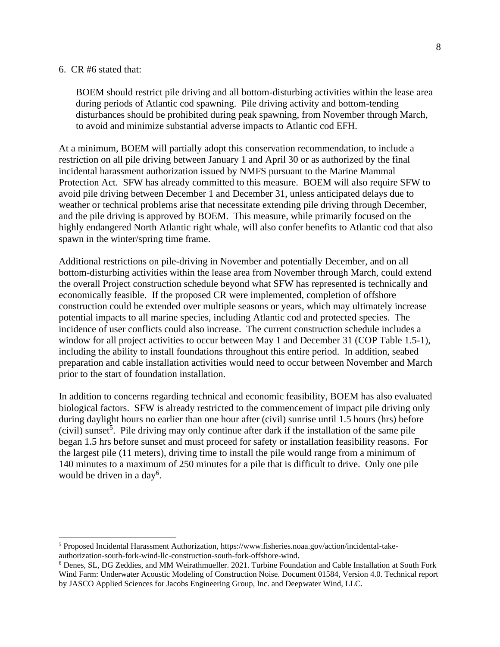#### 6. CR #6 stated that:

BOEM should restrict pile driving and all bottom-disturbing activities within the lease area during periods of Atlantic cod spawning. Pile driving activity and bottom-tending disturbances should be prohibited during peak spawning, from November through March, to avoid and minimize substantial adverse impacts to Atlantic cod EFH.

At a minimum, BOEM will partially adopt this conservation recommendation, to include a restriction on all pile driving between January 1 and April 30 or as authorized by the final incidental harassment authorization issued by NMFS pursuant to the Marine Mammal Protection Act. SFW has already committed to this measure. BOEM will also require SFW to avoid pile driving between December 1 and December 31, unless anticipated delays due to weather or technical problems arise that necessitate extending pile driving through December, and the pile driving is approved by BOEM. This measure, while primarily focused on the highly endangered North Atlantic right whale, will also confer benefits to Atlantic cod that also spawn in the winter/spring time frame.

Additional restrictions on pile-driving in November and potentially December, and on all bottom-disturbing activities within the lease area from November through March, could extend the overall Project construction schedule beyond what SFW has represented is technically and economically feasible. If the proposed CR were implemented, completion of offshore construction could be extended over multiple seasons or years, which may ultimately increase potential impacts to all marine species, including Atlantic cod and protected species. The incidence of user conflicts could also increase. The current construction schedule includes a window for all project activities to occur between May 1 and December 31 (COP Table 1.5-1), including the ability to install foundations throughout this entire period. In addition, seabed preparation and cable installation activities would need to occur between November and March prior to the start of foundation installation.

In addition to concerns regarding technical and economic feasibility, BOEM has also evaluated biological factors. SFW is already restricted to the commencement of impact pile driving only during daylight hours no earlier than one hour after (civil) sunrise until 1.5 hours (hrs) before  $(civil)$  sunset<sup>5</sup>. Pile driving may only continue after dark if the installation of the same pile began 1.5 hrs before sunset and must proceed for safety or installation feasibility reasons. For the largest pile (11 meters), driving time to install the pile would range from a minimum of 140 minutes to a maximum of 250 minutes for a pile that is difficult to drive. Only one pile would be driven in a day<sup>6</sup>.

<sup>5</sup> Proposed Incidental Harassment Authorization, https://www.fisheries.noaa.gov/action/incidental-takeauthorization-south-fork-wind-llc-construction-south-fork-offshore-wind.

<sup>6</sup> Denes, SL, DG Zeddies, and MM Weirathmueller. 2021. Turbine Foundation and Cable Installation at South Fork Wind Farm: Underwater Acoustic Modeling of Construction Noise. Document 01584, Version 4.0. Technical report by JASCO Applied Sciences for Jacobs Engineering Group, Inc. and Deepwater Wind, LLC.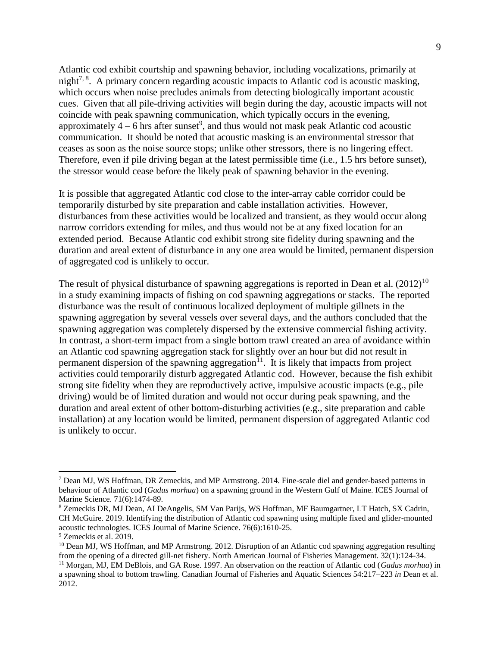Atlantic cod exhibit courtship and spawning behavior, including vocalizations, primarily at night<sup>7, 8</sup>. A primary concern regarding acoustic impacts to Atlantic cod is acoustic masking, which occurs when noise precludes animals from detecting biologically important acoustic cues. Given that all pile-driving activities will begin during the day, acoustic impacts will not coincide with peak spawning communication, which typically occurs in the evening, approximately  $4-6$  hrs after sunset<sup>9</sup>, and thus would not mask peak Atlantic cod acoustic communication. It should be noted that acoustic masking is an environmental stressor that ceases as soon as the noise source stops; unlike other stressors, there is no lingering effect. Therefore, even if pile driving began at the latest permissible time (i.e., 1.5 hrs before sunset), the stressor would cease before the likely peak of spawning behavior in the evening.

It is possible that aggregated Atlantic cod close to the inter-array cable corridor could be temporarily disturbed by site preparation and cable installation activities. However, disturbances from these activities would be localized and transient, as they would occur along narrow corridors extending for miles, and thus would not be at any fixed location for an extended period. Because Atlantic cod exhibit strong site fidelity during spawning and the duration and areal extent of disturbance in any one area would be limited, permanent dispersion of aggregated cod is unlikely to occur.

The result of physical disturbance of spawning aggregations is reported in Dean et al.  $(2012)^{10}$ in a study examining impacts of fishing on cod spawning aggregations or stacks. The reported disturbance was the result of continuous localized deployment of multiple gillnets in the spawning aggregation by several vessels over several days, and the authors concluded that the spawning aggregation was completely dispersed by the extensive commercial fishing activity. In contrast, a short-term impact from a single bottom trawl created an area of avoidance within an Atlantic cod spawning aggregation stack for slightly over an hour but did not result in permanent dispersion of the spawning aggregation $11$ . It is likely that impacts from project activities could temporarily disturb aggregated Atlantic cod. However, because the fish exhibit strong site fidelity when they are reproductively active, impulsive acoustic impacts (e.g., pile driving) would be of limited duration and would not occur during peak spawning, and the duration and areal extent of other bottom-disturbing activities (e.g., site preparation and cable installation) at any location would be limited, permanent dispersion of aggregated Atlantic cod is unlikely to occur.

<sup>7</sup> Dean MJ, WS Hoffman, DR Zemeckis, and MP Armstrong. 2014. Fine-scale diel and gender-based patterns in behaviour of Atlantic cod (*Gadus morhua*) on a spawning ground in the Western Gulf of Maine. ICES Journal of Marine Science. 71(6):1474-89.

<sup>8</sup> Zemeckis DR, MJ Dean, AI DeAngelis, SM Van Parijs, WS Hoffman, MF Baumgartner, LT Hatch, SX Cadrin, CH McGuire. 2019. Identifying the distribution of Atlantic cod spawning using multiple fixed and glider-mounted acoustic technologies. ICES Journal of Marine Science. 76(6):1610-25.

<sup>9</sup> Zemeckis et al. 2019.

<sup>&</sup>lt;sup>10</sup> Dean MJ, WS Hoffman, and MP Armstrong. 2012. Disruption of an Atlantic cod spawning aggregation resulting from the opening of a directed gill-net fishery. North American Journal of Fisheries Management. 32(1):124-34.

<sup>11</sup> Morgan, MJ, EM DeBlois, and GA Rose. 1997. An observation on the reaction of Atlantic cod (*Gadus morhua*) in a spawning shoal to bottom trawling. Canadian Journal of Fisheries and Aquatic Sciences 54:217–223 *in* Dean et al. 2012.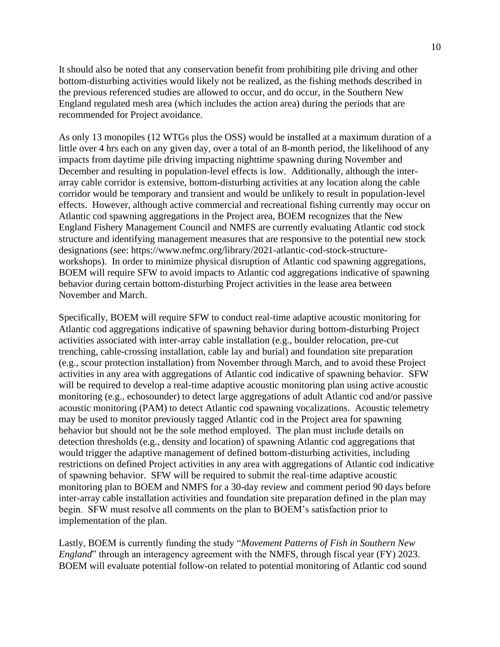It should also be noted that any conservation benefit from prohibiting pile driving and other bottom-disturbing activities would likely not be realized, as the fishing methods described in the previous referenced studies are allowed to occur, and do occur, in the Southern New England regulated mesh area (which includes the action area) during the periods that are recommended for Project avoidance.

As only 13 monopiles (12 WTGs plus the OSS) would be installed at a maximum duration of a little over 4 hrs each on any given day, over a total of an 8-month period, the likelihood of any impacts from daytime pile driving impacting nighttime spawning during November and December and resulting in population-level effects is low. Additionally, although the interarray cable corridor is extensive, bottom-disturbing activities at any location along the cable corridor would be temporary and transient and would be unlikely to result in population-level effects. However, although active commercial and recreational fishing currently may occur on Atlantic cod spawning aggregations in the Project area, BOEM recognizes that the New England Fishery Management Council and NMFS are currently evaluating Atlantic cod stock structure and identifying management measures that are responsive to the potential new stock designations (see: https://www.nefmc.org/library/2021-atlantic-cod-stock-structureworkshops). In order to minimize physical disruption of Atlantic cod spawning aggregations, BOEM will require SFW to avoid impacts to Atlantic cod aggregations indicative of spawning behavior during certain bottom-disturbing Project activities in the lease area between November and March.

Specifically, BOEM will require SFW to conduct real-time adaptive acoustic monitoring for Atlantic cod aggregations indicative of spawning behavior during bottom-disturbing Project activities associated with inter-array cable installation (e.g., boulder relocation, pre-cut trenching, cable-crossing installation, cable lay and burial) and foundation site preparation (e.g., scour protection installation) from November through March, and to avoid these Project activities in any area with aggregations of Atlantic cod indicative of spawning behavior. SFW will be required to develop a real-time adaptive acoustic monitoring plan using active acoustic monitoring (e.g., echosounder) to detect large aggregations of adult Atlantic cod and/or passive acoustic monitoring (PAM) to detect Atlantic cod spawning vocalizations. Acoustic telemetry may be used to monitor previously tagged Atlantic cod in the Project area for spawning behavior but should not be the sole method employed. The plan must include details on detection thresholds (e.g., density and location) of spawning Atlantic cod aggregations that would trigger the adaptive management of defined bottom-disturbing activities, including restrictions on defined Project activities in any area with aggregations of Atlantic cod indicative of spawning behavior. SFW will be required to submit the real-time adaptive acoustic monitoring plan to BOEM and NMFS for a 30-day review and comment period 90 days before inter-array cable installation activities and foundation site preparation defined in the plan may begin. SFW must resolve all comments on the plan to BOEM's satisfaction prior to implementation of the plan.

Lastly, BOEM is currently funding the study "*Movement Patterns of Fish in Southern New England*" through an interagency agreement with the NMFS, through fiscal year (FY) 2023. BOEM will evaluate potential follow-on related to potential monitoring of Atlantic cod sound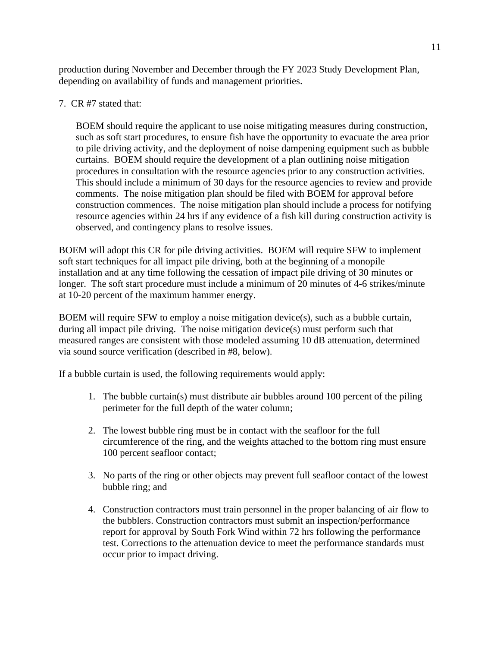production during November and December through the FY 2023 Study Development Plan, depending on availability of funds and management priorities.

7. CR #7 stated that:

BOEM should require the applicant to use noise mitigating measures during construction, such as soft start procedures, to ensure fish have the opportunity to evacuate the area prior to pile driving activity, and the deployment of noise dampening equipment such as bubble curtains. BOEM should require the development of a plan outlining noise mitigation procedures in consultation with the resource agencies prior to any construction activities. This should include a minimum of 30 days for the resource agencies to review and provide comments. The noise mitigation plan should be filed with BOEM for approval before construction commences. The noise mitigation plan should include a process for notifying resource agencies within 24 hrs if any evidence of a fish kill during construction activity is observed, and contingency plans to resolve issues.

BOEM will adopt this CR for pile driving activities. BOEM will require SFW to implement soft start techniques for all impact pile driving, both at the beginning of a monopile installation and at any time following the cessation of impact pile driving of 30 minutes or longer. The soft start procedure must include a minimum of 20 minutes of 4-6 strikes/minute at 10-20 percent of the maximum hammer energy.

BOEM will require SFW to employ a noise mitigation device(s), such as a bubble curtain, during all impact pile driving. The noise mitigation device(s) must perform such that measured ranges are consistent with those modeled assuming 10 dB attenuation, determined via sound source verification (described in #8, below).

If a bubble curtain is used, the following requirements would apply:

- 1. The bubble curtain(s) must distribute air bubbles around 100 percent of the piling perimeter for the full depth of the water column;
- 2. The lowest bubble ring must be in contact with the seafloor for the full circumference of the ring, and the weights attached to the bottom ring must ensure 100 percent seafloor contact;
- 3. No parts of the ring or other objects may prevent full seafloor contact of the lowest bubble ring; and
- 4. Construction contractors must train personnel in the proper balancing of air flow to the bubblers. Construction contractors must submit an inspection/performance report for approval by South Fork Wind within 72 hrs following the performance test. Corrections to the attenuation device to meet the performance standards must occur prior to impact driving.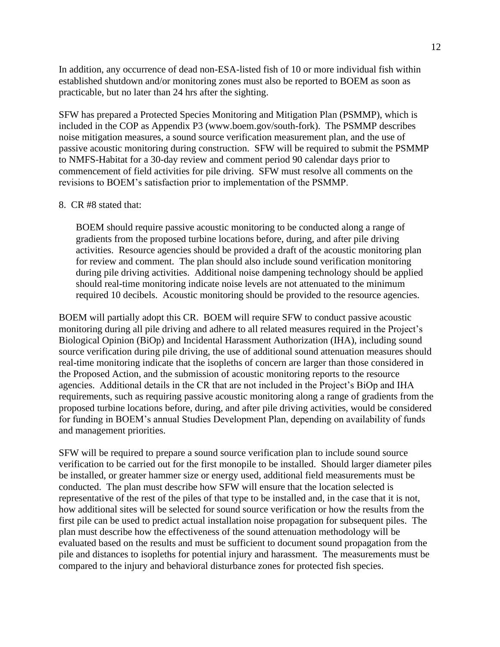In addition, any occurrence of dead non-ESA-listed fish of 10 or more individual fish within established shutdown and/or monitoring zones must also be reported to BOEM as soon as practicable, but no later than 24 hrs after the sighting.

SFW has prepared a Protected Species Monitoring and Mitigation Plan (PSMMP), which is included in the COP as Appendix P3 [\(www.boem.gov/south-fork\)](http://www.boem.gov/south-fork). The PSMMP describes noise mitigation measures, a sound source verification measurement plan, and the use of passive acoustic monitoring during construction. SFW will be required to submit the PSMMP to NMFS-Habitat for a 30-day review and comment period 90 calendar days prior to commencement of field activities for pile driving. SFW must resolve all comments on the revisions to BOEM's satisfaction prior to implementation of the PSMMP.

#### 8. CR #8 stated that:

BOEM should require passive acoustic monitoring to be conducted along a range of gradients from the proposed turbine locations before, during, and after pile driving activities. Resource agencies should be provided a draft of the acoustic monitoring plan for review and comment. The plan should also include sound verification monitoring during pile driving activities. Additional noise dampening technology should be applied should real-time monitoring indicate noise levels are not attenuated to the minimum required 10 decibels. Acoustic monitoring should be provided to the resource agencies.

BOEM will partially adopt this CR. BOEM will require SFW to conduct passive acoustic monitoring during all pile driving and adhere to all related measures required in the Project's Biological Opinion (BiOp) and Incidental Harassment Authorization (IHA), including sound source verification during pile driving, the use of additional sound attenuation measures should real-time monitoring indicate that the isopleths of concern are larger than those considered in the Proposed Action, and the submission of acoustic monitoring reports to the resource agencies. Additional details in the CR that are not included in the Project's BiOp and IHA requirements, such as requiring passive acoustic monitoring along a range of gradients from the proposed turbine locations before, during, and after pile driving activities, would be considered for funding in BOEM's annual Studies Development Plan, depending on availability of funds and management priorities.

SFW will be required to prepare a sound source verification plan to include sound source verification to be carried out for the first monopile to be installed. Should larger diameter piles be installed, or greater hammer size or energy used, additional field measurements must be conducted. The plan must describe how SFW will ensure that the location selected is representative of the rest of the piles of that type to be installed and, in the case that it is not, how additional sites will be selected for sound source verification or how the results from the first pile can be used to predict actual installation noise propagation for subsequent piles. The plan must describe how the effectiveness of the sound attenuation methodology will be evaluated based on the results and must be sufficient to document sound propagation from the pile and distances to isopleths for potential injury and harassment. The measurements must be compared to the injury and behavioral disturbance zones for protected fish species.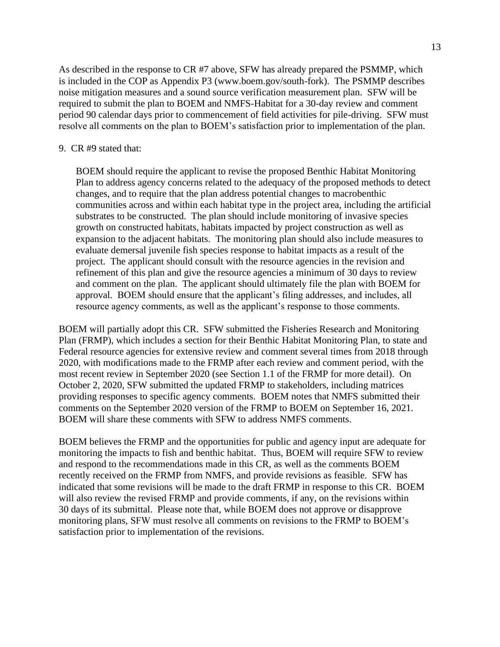As described in the response to CR #7 above, SFW has already prepared the PSMMP, which is included in the COP as Appendix P3 (www.boem.gov/south-fork). The PSMMP describes noise mitigation measures and a sound source verification measurement plan. SFW will be required to submit the plan to BOEM and NMFS-Habitat for a 30-day review and comment period 90 calendar days prior to commencement of field activities for pile-driving. SFW must resolve all comments on the plan to BOEM's satisfaction prior to implementation of the plan.

#### 9. CR #9 stated that:

BOEM should require the applicant to revise the proposed Benthic Habitat Monitoring Plan to address agency concerns related to the adequacy of the proposed methods to detect changes, and to require that the plan address potential changes to macrobenthic communities across and within each habitat type in the project area, including the artificial substrates to be constructed. The plan should include monitoring of invasive species growth on constructed habitats, habitats impacted by project construction as well as expansion to the adjacent habitats. The monitoring plan should also include measures to evaluate demersal juvenile fish species response to habitat impacts as a result of the project. The applicant should consult with the resource agencies in the revision and refinement of this plan and give the resource agencies a minimum of 30 days to review and comment on the plan. The applicant should ultimately file the plan with BOEM for approval. BOEM should ensure that the applicant's filing addresses, and includes, all resource agency comments, as well as the applicant's response to those comments.

BOEM will partially adopt this CR. SFW submitted the Fisheries Research and Monitoring Plan (FRMP), which includes a section for their Benthic Habitat Monitoring Plan, to state and Federal resource agencies for extensive review and comment several times from 2018 through 2020, with modifications made to the FRMP after each review and comment period, with the most recent review in September 2020 (see Section 1.1 of the FRMP for more detail). On October 2, 2020, SFW submitted the updated FRMP to stakeholders, including matrices providing responses to specific agency comments. BOEM notes that NMFS submitted their comments on the September 2020 version of the FRMP to BOEM on September 16, 2021. BOEM will share these comments with SFW to address NMFS comments.

BOEM believes the FRMP and the opportunities for public and agency input are adequate for monitoring the impacts to fish and benthic habitat. Thus, BOEM will require SFW to review and respond to the recommendations made in this CR, as well as the comments BOEM recently received on the FRMP from NMFS, and provide revisions as feasible. SFW has indicated that some revisions will be made to the draft FRMP in response to this CR. BOEM will also review the revised FRMP and provide comments, if any, on the revisions within 30 days of its submittal. Please note that, while BOEM does not approve or disapprove monitoring plans, SFW must resolve all comments on revisions to the FRMP to BOEM's satisfaction prior to implementation of the revisions.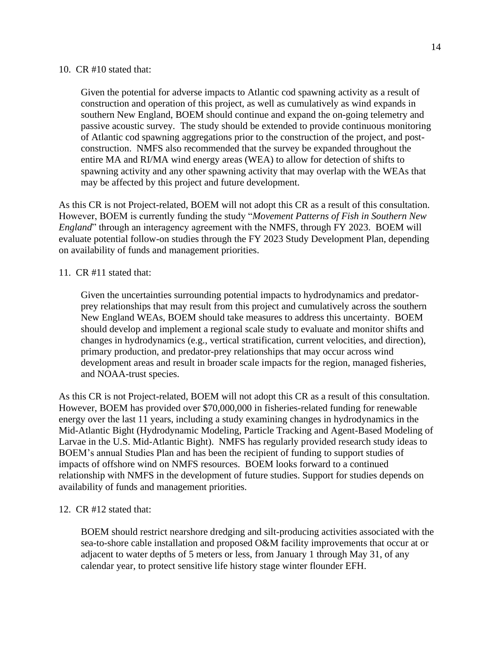#### 10. CR #10 stated that:

Given the potential for adverse impacts to Atlantic cod spawning activity as a result of construction and operation of this project, as well as cumulatively as wind expands in southern New England, BOEM should continue and expand the on-going telemetry and passive acoustic survey. The study should be extended to provide continuous monitoring of Atlantic cod spawning aggregations prior to the construction of the project, and postconstruction. NMFS also recommended that the survey be expanded throughout the entire MA and RI/MA wind energy areas (WEA) to allow for detection of shifts to spawning activity and any other spawning activity that may overlap with the WEAs that may be affected by this project and future development.

As this CR is not Project-related, BOEM will not adopt this CR as a result of this consultation. However, BOEM is currently funding the study "*Movement Patterns of Fish in Southern New England*" through an interagency agreement with the NMFS, through FY 2023. BOEM will evaluate potential follow-on studies through the FY 2023 Study Development Plan, depending on availability of funds and management priorities.

## 11. CR #11 stated that:

Given the uncertainties surrounding potential impacts to hydrodynamics and predatorprey relationships that may result from this project and cumulatively across the southern New England WEAs, BOEM should take measures to address this uncertainty. BOEM should develop and implement a regional scale study to evaluate and monitor shifts and changes in hydrodynamics (e.g., vertical stratification, current velocities, and direction), primary production, and predator-prey relationships that may occur across wind development areas and result in broader scale impacts for the region, managed fisheries, and NOAA-trust species.

As this CR is not Project-related, BOEM will not adopt this CR as a result of this consultation. However, BOEM has provided over \$70,000,000 in fisheries-related funding for renewable energy over the last 11 years, including a study examining changes in hydrodynamics in the Mid-Atlantic Bight (Hydrodynamic Modeling, Particle Tracking and Agent-Based Modeling of Larvae in the U.S. Mid-Atlantic Bight). NMFS has regularly provided research study ideas to BOEM's annual Studies Plan and has been the recipient of funding to support studies of impacts of offshore wind on NMFS resources. BOEM looks forward to a continued relationship with NMFS in the development of future studies. Support for studies depends on availability of funds and management priorities.

## 12. CR #12 stated that:

BOEM should restrict nearshore dredging and silt-producing activities associated with the sea-to-shore cable installation and proposed O&M facility improvements that occur at or adjacent to water depths of 5 meters or less, from January 1 through May 31, of any calendar year, to protect sensitive life history stage winter flounder EFH.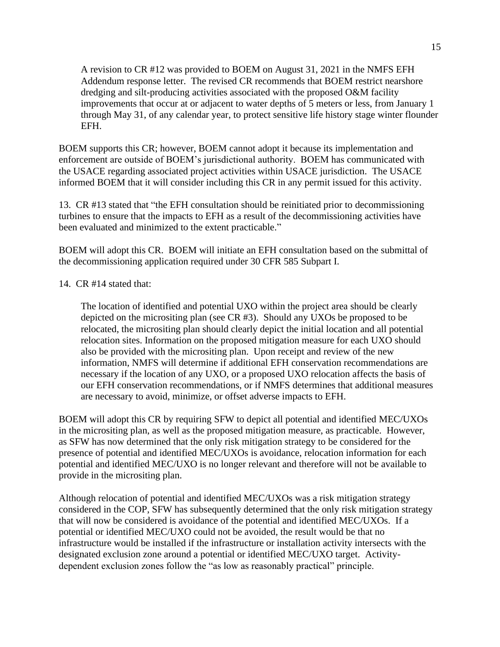A revision to CR #12 was provided to BOEM on August 31, 2021 in the NMFS EFH Addendum response letter. The revised CR recommends that BOEM restrict nearshore dredging and silt-producing activities associated with the proposed O&M facility improvements that occur at or adjacent to water depths of 5 meters or less, from January 1 through May 31, of any calendar year, to protect sensitive life history stage winter flounder EFH.

BOEM supports this CR; however, BOEM cannot adopt it because its implementation and enforcement are outside of BOEM's jurisdictional authority. BOEM has communicated with the USACE regarding associated project activities within USACE jurisdiction. The USACE informed BOEM that it will consider including this CR in any permit issued for this activity.

13. CR #13 stated that "the EFH consultation should be reinitiated prior to decommissioning turbines to ensure that the impacts to EFH as a result of the decommissioning activities have been evaluated and minimized to the extent practicable."

BOEM will adopt this CR. BOEM will initiate an EFH consultation based on the submittal of the decommissioning application required under 30 CFR 585 Subpart I.

### 14. CR #14 stated that:

The location of identified and potential UXO within the project area should be clearly depicted on the micrositing plan (see CR #3). Should any UXOs be proposed to be relocated, the micrositing plan should clearly depict the initial location and all potential relocation sites. Information on the proposed mitigation measure for each UXO should also be provided with the micrositing plan. Upon receipt and review of the new information, NMFS will determine if additional EFH conservation recommendations are necessary if the location of any UXO, or a proposed UXO relocation affects the basis of our EFH conservation recommendations, or if NMFS determines that additional measures are necessary to avoid, minimize, or offset adverse impacts to EFH.

BOEM will adopt this CR by requiring SFW to depict all potential and identified MEC/UXOs in the micrositing plan, as well as the proposed mitigation measure, as practicable. However, as SFW has now determined that the only risk mitigation strategy to be considered for the presence of potential and identified MEC/UXOs is avoidance, relocation information for each potential and identified MEC/UXO is no longer relevant and therefore will not be available to provide in the micrositing plan.

Although relocation of potential and identified MEC/UXOs was a risk mitigation strategy considered in the COP, SFW has subsequently determined that the only risk mitigation strategy that will now be considered is avoidance of the potential and identified MEC/UXOs. If a potential or identified MEC/UXO could not be avoided, the result would be that no infrastructure would be installed if the infrastructure or installation activity intersects with the designated exclusion zone around a potential or identified MEC/UXO target. Activitydependent exclusion zones follow the "as low as reasonably practical" principle.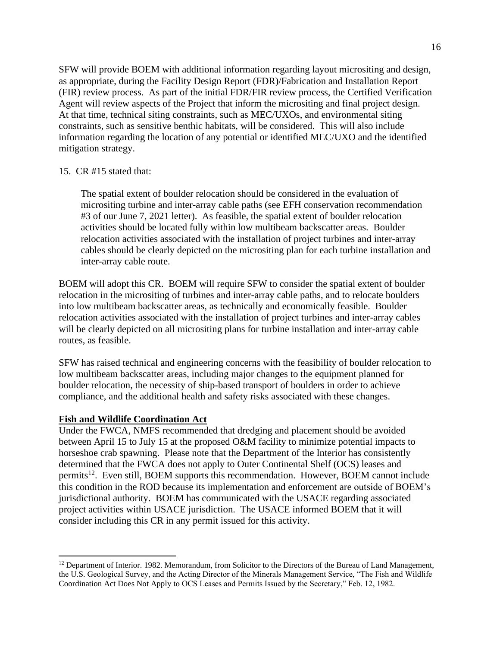SFW will provide BOEM with additional information regarding layout micrositing and design, as appropriate, during the Facility Design Report (FDR)/Fabrication and Installation Report (FIR) review process. As part of the initial FDR/FIR review process, the Certified Verification Agent will review aspects of the Project that inform the micrositing and final project design. At that time, technical siting constraints, such as MEC/UXOs, and environmental siting constraints, such as sensitive benthic habitats, will be considered. This will also include information regarding the location of any potential or identified MEC/UXO and the identified mitigation strategy.

## 15. CR #15 stated that:

The spatial extent of boulder relocation should be considered in the evaluation of micrositing turbine and inter-array cable paths (see EFH conservation recommendation #3 of our June 7, 2021 letter). As feasible, the spatial extent of boulder relocation activities should be located fully within low multibeam backscatter areas. Boulder relocation activities associated with the installation of project turbines and inter-array cables should be clearly depicted on the micrositing plan for each turbine installation and inter-array cable route.

BOEM will adopt this CR. BOEM will require SFW to consider the spatial extent of boulder relocation in the micrositing of turbines and inter-array cable paths, and to relocate boulders into low multibeam backscatter areas, as technically and economically feasible. Boulder relocation activities associated with the installation of project turbines and inter-array cables will be clearly depicted on all micrositing plans for turbine installation and inter-array cable routes, as feasible.

SFW has raised technical and engineering concerns with the feasibility of boulder relocation to low multibeam backscatter areas, including major changes to the equipment planned for boulder relocation, the necessity of ship-based transport of boulders in order to achieve compliance, and the additional health and safety risks associated with these changes.

## **Fish and Wildlife Coordination Act**

Under the FWCA, NMFS recommended that dredging and placement should be avoided between April 15 to July 15 at the proposed O&M facility to minimize potential impacts to horseshoe crab spawning. Please note that the Department of the Interior has consistently determined that the FWCA does not apply to Outer Continental Shelf (OCS) leases and permits<sup>12</sup>. Even still, BOEM supports this recommendation. However, BOEM cannot include this condition in the ROD because its implementation and enforcement are outside of BOEM's jurisdictional authority. BOEM has communicated with the USACE regarding associated project activities within USACE jurisdiction. The USACE informed BOEM that it will consider including this CR in any permit issued for this activity.

<sup>&</sup>lt;sup>12</sup> Department of Interior. 1982. Memorandum, from Solicitor to the Directors of the Bureau of Land Management, the U.S. Geological Survey, and the Acting Director of the Minerals Management Service, "The Fish and Wildlife Coordination Act Does Not Apply to OCS Leases and Permits Issued by the Secretary," Feb. 12, 1982.